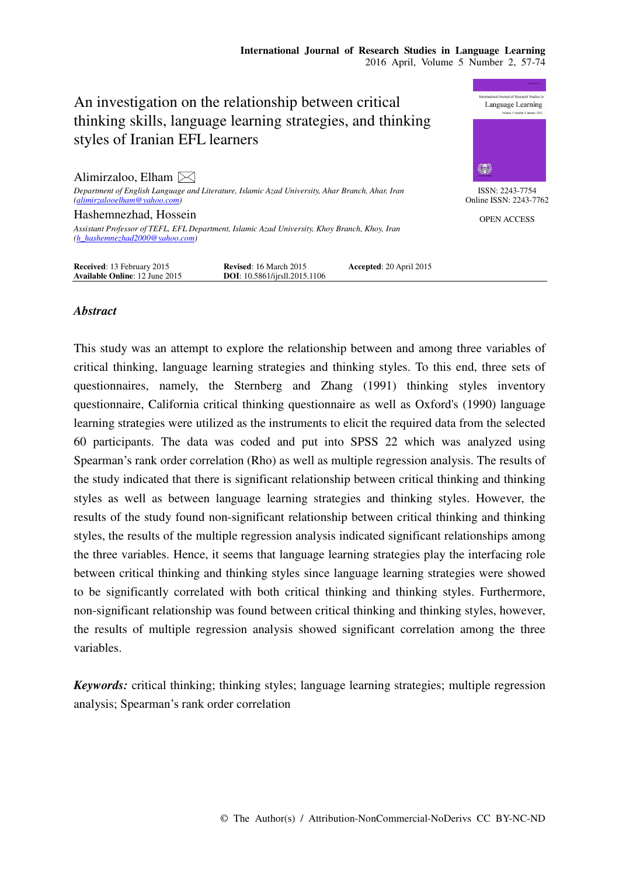

# *Abstract*

This study was an attempt to explore the relationship between and among three variables of critical thinking, language learning strategies and thinking styles. To this end, three sets of questionnaires, namely, the Sternberg and Zhang (1991) thinking styles inventory questionnaire, California critical thinking questionnaire as well as Oxford's (1990) language learning strategies were utilized as the instruments to elicit the required data from the selected 60 participants. The data was coded and put into SPSS 22 which was analyzed using Spearman's rank order correlation (Rho) as well as multiple regression analysis. The results of the study indicated that there is significant relationship between critical thinking and thinking styles as well as between language learning strategies and thinking styles. However, the results of the study found non-significant relationship between critical thinking and thinking styles, the results of the multiple regression analysis indicated significant relationships among the three variables. Hence, it seems that language learning strategies play the interfacing role between critical thinking and thinking styles since language learning strategies were showed to be significantly correlated with both critical thinking and thinking styles. Furthermore, non-significant relationship was found between critical thinking and thinking styles, however, the results of multiple regression analysis showed significant correlation among the three variables.

*Keywords:* critical thinking; thinking styles; language learning strategies; multiple regression analysis; Spearman's rank order correlation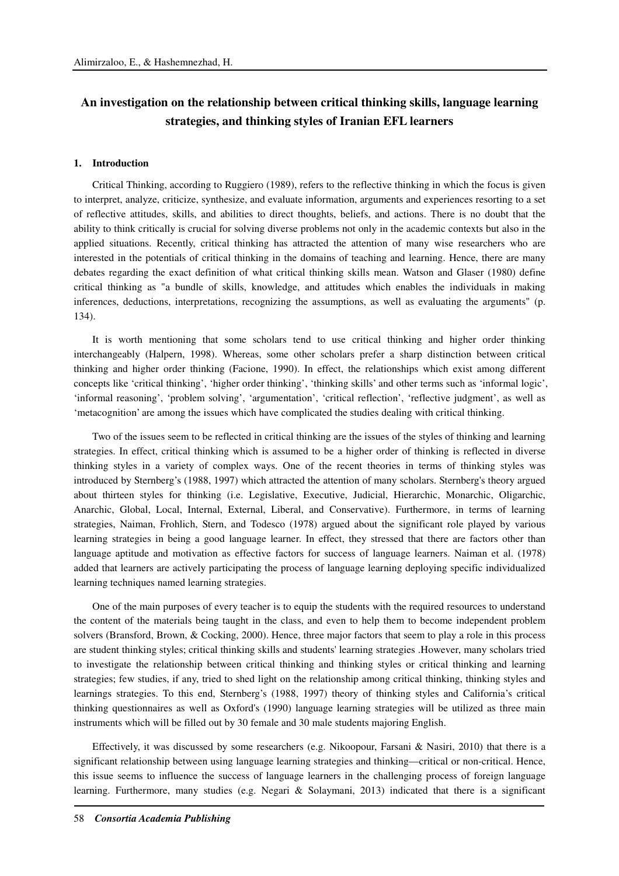# **An investigation on the relationship between critical thinking skills, language learning strategies, and thinking styles of Iranian EFL learners**

#### **1. Introduction**

Critical Thinking, according to Ruggiero (1989), refers to the reflective thinking in which the focus is given to interpret, analyze, criticize, synthesize, and evaluate information, arguments and experiences resorting to a set of reflective attitudes, skills, and abilities to direct thoughts, beliefs, and actions. There is no doubt that the ability to think critically is crucial for solving diverse problems not only in the academic contexts but also in the applied situations. Recently, critical thinking has attracted the attention of many wise researchers who are interested in the potentials of critical thinking in the domains of teaching and learning. Hence, there are many debates regarding the exact definition of what critical thinking skills mean. Watson and Glaser (1980) define critical thinking as "a bundle of skills, knowledge, and attitudes which enables the individuals in making inferences, deductions, interpretations, recognizing the assumptions, as well as evaluating the arguments" (p. 134).

It is worth mentioning that some scholars tend to use critical thinking and higher order thinking interchangeably (Halpern, 1998). Whereas, some other scholars prefer a sharp distinction between critical thinking and higher order thinking (Facione, 1990). In effect, the relationships which exist among different concepts like 'critical thinking', 'higher order thinking', 'thinking skills' and other terms such as 'informal logic', 'informal reasoning', 'problem solving', 'argumentation', 'critical reflection', 'reflective judgment', as well as 'metacognition' are among the issues which have complicated the studies dealing with critical thinking.

Two of the issues seem to be reflected in critical thinking are the issues of the styles of thinking and learning strategies. In effect, critical thinking which is assumed to be a higher order of thinking is reflected in diverse thinking styles in a variety of complex ways. One of the recent theories in terms of thinking styles was introduced by Sternberg's (1988, 1997) which attracted the attention of many scholars. Sternberg's theory argued about thirteen styles for thinking (i.e. Legislative, Executive, Judicial, Hierarchic, Monarchic, Oligarchic, Anarchic, Global, Local, Internal, External, Liberal, and Conservative). Furthermore, in terms of learning strategies, Naiman, Frohlich, Stern, and Todesco (1978) argued about the significant role played by various learning strategies in being a good language learner. In effect, they stressed that there are factors other than language aptitude and motivation as effective factors for success of language learners. Naiman et al. (1978) added that learners are actively participating the process of language learning deploying specific individualized learning techniques named learning strategies.

One of the main purposes of every teacher is to equip the students with the required resources to understand the content of the materials being taught in the class, and even to help them to become independent problem solvers (Bransford, Brown, & Cocking, 2000). Hence, three major factors that seem to play a role in this process are student thinking styles; critical thinking skills and students' learning strategies . However, many scholars tried to investigate the relationship between critical thinking and thinking styles or critical thinking and learning strategies; few studies, if any, tried to shed light on the relationship among critical thinking, thinking styles and learnings strategies. To this end, Sternberg's (1988, 1997) theory of thinking styles and California's critical thinking questionnaires as well as Oxford's (1990) language learning strategies will be utilized as three main instruments which will be filled out by 30 female and 30 male students majoring English.

Effectively, it was discussed by some researchers (e.g. Nikoopour, Farsani & Nasiri, 2010) that there is a significant relationship between using language learning strategies and thinking—critical or non-critical. Hence, this issue seems to influence the success of language learners in the challenging process of foreign language learning. Furthermore, many studies (e.g. Negari & Solaymani, 2013) indicated that there is a significant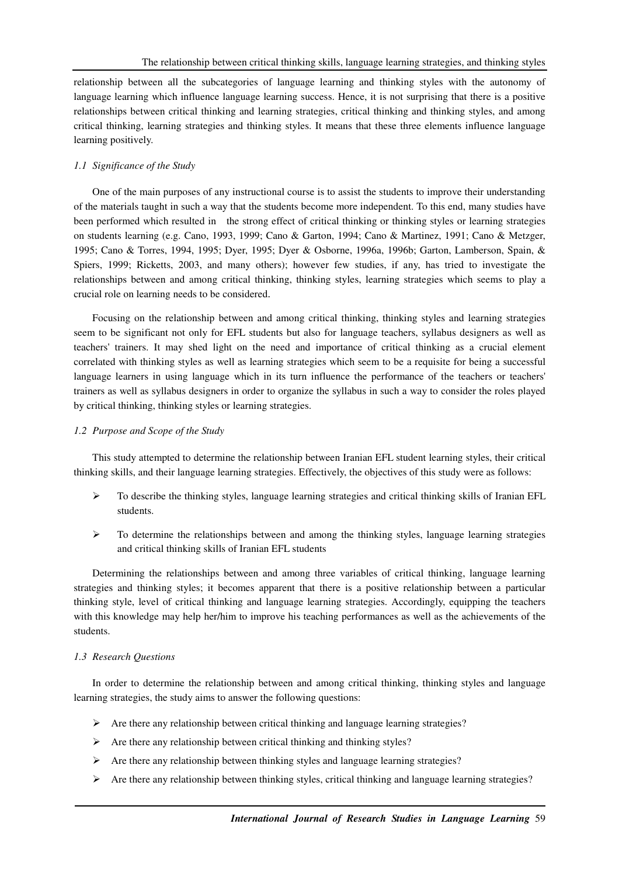relationship between all the subcategories of language learning and thinking styles with the autonomy of language learning which influence language learning success. Hence, it is not surprising that there is a positive relationships between critical thinking and learning strategies, critical thinking and thinking styles, and among critical thinking, learning strategies and thinking styles. It means that these three elements influence language learning positively.

# *1.1 Significance of the Study*

One of the main purposes of any instructional course is to assist the students to improve their understanding of the materials taught in such a way that the students become more independent. To this end, many studies have been performed which resulted in the strong effect of critical thinking or thinking styles or learning strategies on students learning (e.g. Cano, 1993, 1999; Cano & Garton, 1994; Cano & Martinez, 1991; Cano & Metzger, 1995; Cano & Torres, 1994, 1995; Dyer, 1995; Dyer & Osborne, 1996a, 1996b; Garton, Lamberson, Spain, & Spiers, 1999; Ricketts, 2003, and many others); however few studies, if any, has tried to investigate the relationships between and among critical thinking, thinking styles, learning strategies which seems to play a crucial role on learning needs to be considered.

Focusing on the relationship between and among critical thinking, thinking styles and learning strategies seem to be significant not only for EFL students but also for language teachers, syllabus designers as well as teachers' trainers. It may shed light on the need and importance of critical thinking as a crucial element correlated with thinking styles as well as learning strategies which seem to be a requisite for being a successful language learners in using language which in its turn influence the performance of the teachers or teachers' trainers as well as syllabus designers in order to organize the syllabus in such a way to consider the roles played by critical thinking, thinking styles or learning strategies.

# *1.2 Purpose and Scope of the Study*

This study attempted to determine the relationship between Iranian EFL student learning styles, their critical thinking skills, and their language learning strategies. Effectively, the objectives of this study were as follows:

- $\triangleright$  To describe the thinking styles, language learning strategies and critical thinking skills of Iranian EFL students.
- $\triangleright$  To determine the relationships between and among the thinking styles, language learning strategies and critical thinking skills of Iranian EFL students

Determining the relationships between and among three variables of critical thinking, language learning strategies and thinking styles; it becomes apparent that there is a positive relationship between a particular thinking style, level of critical thinking and language learning strategies. Accordingly, equipping the teachers with this knowledge may help her/him to improve his teaching performances as well as the achievements of the students.

# *1.3 Research Questions*

In order to determine the relationship between and among critical thinking, thinking styles and language learning strategies, the study aims to answer the following questions:

- $\triangleright$  Are there any relationship between critical thinking and language learning strategies?
- $\triangleright$  Are there any relationship between critical thinking and thinking styles?
- $\triangleright$  Are there any relationship between thinking styles and language learning strategies?
- $\triangleright$  Are there any relationship between thinking styles, critical thinking and language learning strategies?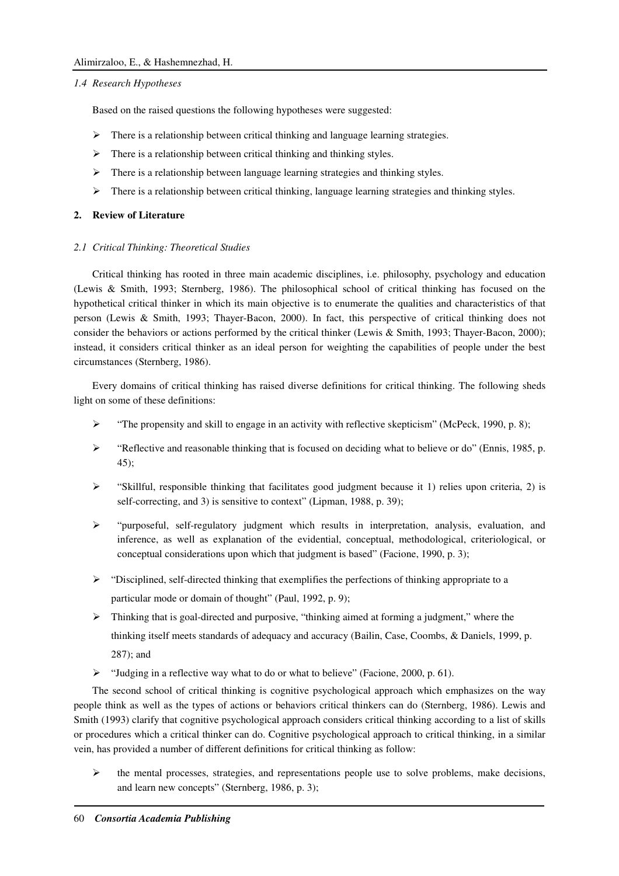# *1.4 Research Hypotheses*

Based on the raised questions the following hypotheses were suggested:

- There is a relationship between critical thinking and language learning strategies.
- $\triangleright$  There is a relationship between critical thinking and thinking styles.
- $\triangleright$  There is a relationship between language learning strategies and thinking styles.
- $\triangleright$  There is a relationship between critical thinking, language learning strategies and thinking styles.

## **2. Review of Literature**

## *2.1 Critical Thinking: Theoretical Studies*

Critical thinking has rooted in three main academic disciplines, i.e. philosophy, psychology and education (Lewis & Smith, 1993; Sternberg, 1986). The philosophical school of critical thinking has focused on the hypothetical critical thinker in which its main objective is to enumerate the qualities and characteristics of that person (Lewis & Smith, 1993; Thayer-Bacon, 2000). In fact, this perspective of critical thinking does not consider the behaviors or actions performed by the critical thinker (Lewis & Smith, 1993; Thayer-Bacon, 2000); instead, it considers critical thinker as an ideal person for weighting the capabilities of people under the best circumstances (Sternberg, 1986).

Every domains of critical thinking has raised diverse definitions for critical thinking. The following sheds light on some of these definitions:

- $\triangleright$  "The propensity and skill to engage in an activity with reflective skepticism" (McPeck, 1990, p. 8);
- $\blacktriangleright$  "Reflective and reasonable thinking that is focused on deciding what to believe or do" (Ennis, 1985, p. 45);
- "Skillful, responsible thinking that facilitates good judgment because it 1) relies upon criteria, 2) is self-correcting, and 3) is sensitive to context" (Lipman, 1988, p. 39);
- "purposeful, self-regulatory judgment which results in interpretation, analysis, evaluation, and inference, as well as explanation of the evidential, conceptual, methodological, criteriological, or conceptual considerations upon which that judgment is based" (Facione, 1990, p. 3);
- $\triangleright$  "Disciplined, self-directed thinking that exemplifies the perfections of thinking appropriate to a particular mode or domain of thought" (Paul, 1992, p. 9);
- Thinking that is goal-directed and purposive, "thinking aimed at forming a judgment," where the thinking itself meets standards of adequacy and accuracy (Bailin, Case, Coombs, & Daniels, 1999, p. 287); and
- "Judging in a reflective way what to do or what to believe" (Facione, 2000, p. 61).

The second school of critical thinking is cognitive psychological approach which emphasizes on the way people think as well as the types of actions or behaviors critical thinkers can do (Sternberg, 1986). Lewis and Smith (1993) clarify that cognitive psychological approach considers critical thinking according to a list of skills or procedures which a critical thinker can do. Cognitive psychological approach to critical thinking, in a similar vein, has provided a number of different definitions for critical thinking as follow:

 $\triangleright$  the mental processes, strategies, and representations people use to solve problems, make decisions, and learn new concepts" (Sternberg, 1986, p. 3);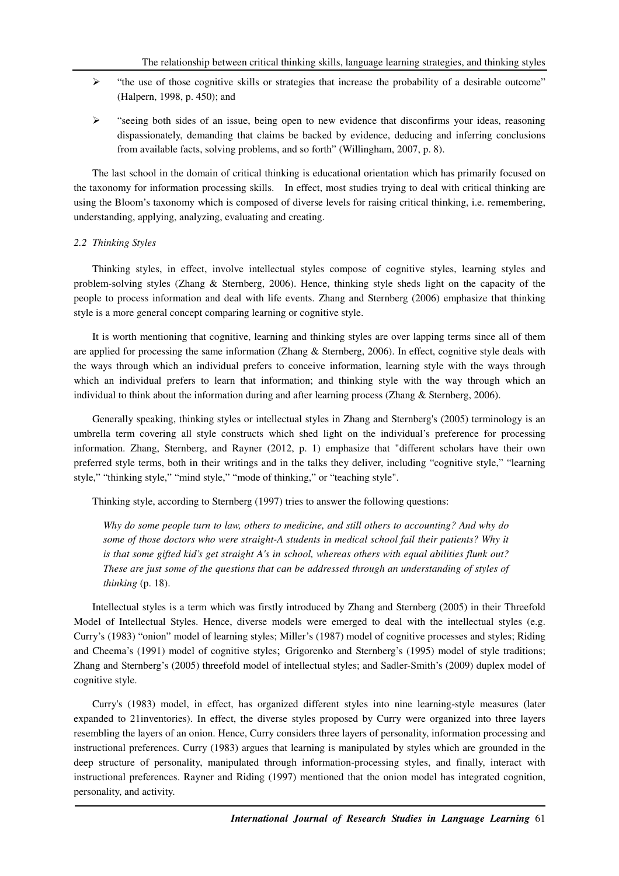- $\triangleright$  "the use of those cognitive skills or strategies that increase the probability of a desirable outcome" (Halpern, 1998, p. 450); and
- $\triangleright$  "seeing both sides of an issue, being open to new evidence that disconfirms your ideas, reasoning dispassionately, demanding that claims be backed by evidence, deducing and inferring conclusions from available facts, solving problems, and so forth" (Willingham, 2007, p. 8).

The last school in the domain of critical thinking is educational orientation which has primarily focused on the taxonomy for information processing skills. In effect, most studies trying to deal with critical thinking are using the Bloom's taxonomy which is composed of diverse levels for raising critical thinking, i.e. remembering, understanding, applying, analyzing, evaluating and creating.

## *2.2 Thinking Styles*

Thinking styles, in effect, involve intellectual styles compose of cognitive styles, learning styles and problem-solving styles (Zhang & Sternberg, 2006). Hence, thinking style sheds light on the capacity of the people to process information and deal with life events. Zhang and Sternberg (2006) emphasize that thinking style is a more general concept comparing learning or cognitive style.

It is worth mentioning that cognitive, learning and thinking styles are over lapping terms since all of them are applied for processing the same information (Zhang & Sternberg, 2006). In effect, cognitive style deals with the ways through which an individual prefers to conceive information, learning style with the ways through which an individual prefers to learn that information; and thinking style with the way through which an individual to think about the information during and after learning process (Zhang & Sternberg, 2006).

Generally speaking, thinking styles or intellectual styles in Zhang and Sternberg's (2005) terminology is an umbrella term covering all style constructs which shed light on the individual's preference for processing information. Zhang, Sternberg, and Rayner (2012, p. 1) emphasize that "different scholars have their own preferred style terms, both in their writings and in the talks they deliver, including "cognitive style," "learning style," "thinking style," "mind style," "mode of thinking," or "teaching style".

Thinking style, according to Sternberg (1997) tries to answer the following questions:

*Why do some people turn to law, others to medicine, and still others to accounting? And why do*  some of those doctors who were straight-A students in medical school fail their patients? Why it *is that some gifted kid's get straight A's in school, whereas others with equal abilities flunk out? These are just some of the questions that can be addressed through an understanding of styles of thinking* (p. 18).

Intellectual styles is a term which was firstly introduced by Zhang and Sternberg (2005) in their Threefold Model of Intellectual Styles. Hence, diverse models were emerged to deal with the intellectual styles (e.g. Curry's (1983) "onion" model of learning styles; Miller's (1987) model of cognitive processes and styles; Riding and Cheema's (1991) model of cognitive styles; Grigorenko and Sternberg's (1995) model of style traditions; Zhang and Sternberg's (2005) threefold model of intellectual styles; and Sadler-Smith's (2009) duplex model of cognitive style.

Curry's (1983) model, in effect, has organized different styles into nine learning-style measures (later expanded to 21inventories). In effect, the diverse styles proposed by Curry were organized into three layers resembling the layers of an onion. Hence, Curry considers three layers of personality, information processing and instructional preferences. Curry (1983) argues that learning is manipulated by styles which are grounded in the deep structure of personality, manipulated through information-processing styles, and finally, interact with instructional preferences. Rayner and Riding (1997) mentioned that the onion model has integrated cognition, personality, and activity.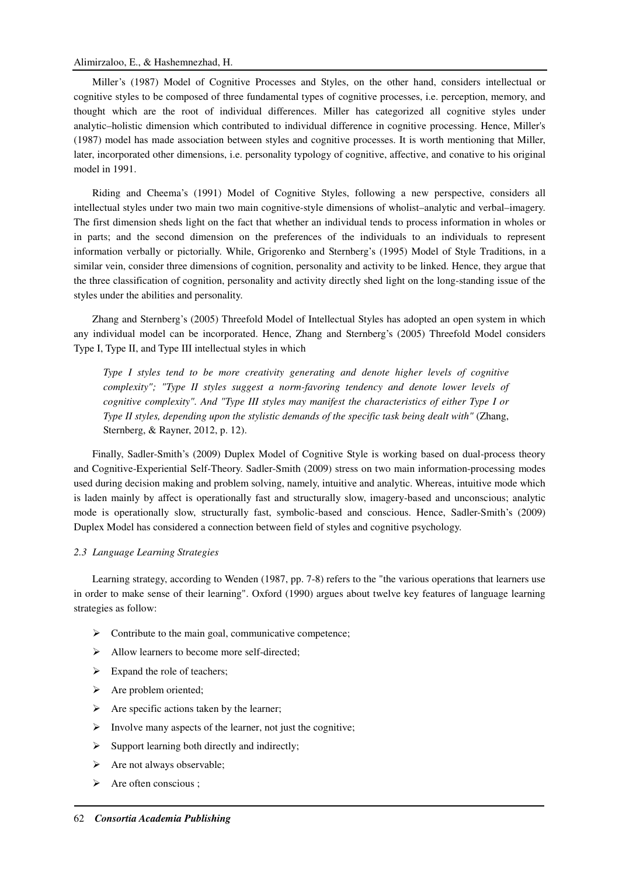# Alimirzaloo, E., & Hashemnezhad, H.

Miller's (1987) Model of Cognitive Processes and Styles, on the other hand, considers intellectual or cognitive styles to be composed of three fundamental types of cognitive processes, i.e. perception, memory, and thought which are the root of individual differences. Miller has categorized all cognitive styles under analytic–holistic dimension which contributed to individual difference in cognitive processing. Hence, Miller's (1987) model has made association between styles and cognitive processes. It is worth mentioning that Miller, later, incorporated other dimensions, i.e. personality typology of cognitive, affective, and conative to his original model in 1991.

Riding and Cheema's (1991) Model of Cognitive Styles, following a new perspective, considers all intellectual styles under two main two main cognitive-style dimensions of wholist–analytic and verbal–imagery. The first dimension sheds light on the fact that whether an individual tends to process information in wholes or in parts; and the second dimension on the preferences of the individuals to an individuals to represent information verbally or pictorially. While, Grigorenko and Sternberg's (1995) Model of Style Traditions, in a similar vein, consider three dimensions of cognition, personality and activity to be linked. Hence, they argue that the three classification of cognition, personality and activity directly shed light on the long-standing issue of the styles under the abilities and personality.

Zhang and Sternberg's (2005) Threefold Model of Intellectual Styles has adopted an open system in which any individual model can be incorporated. Hence, Zhang and Sternberg's (2005) Threefold Model considers Type I, Type II, and Type III intellectual styles in which

*Type I styles tend to be more creativity generating and denote higher levels of cognitive complexity"; "Type II styles suggest a norm-favoring tendency and denote lower levels of cognitive complexity". And "Type III styles may manifest the characteristics of either Type I or Type II styles, depending upon the stylistic demands of the specific task being dealt with" (Zhang,* Sternberg, & Rayner, 2012, p. 12).

Finally, Sadler-Smith's (2009) Duplex Model of Cognitive Style is working based on dual-process theory and Cognitive-Experiential Self-Theory. Sadler-Smith (2009) stress on two main information-processing modes used during decision making and problem solving, namely, intuitive and analytic. Whereas, intuitive mode which is laden mainly by affect is operationally fast and structurally slow, imagery-based and unconscious; analytic mode is operationally slow, structurally fast, symbolic-based and conscious. Hence, Sadler-Smith's (2009) Duplex Model has considered a connection between field of styles and cognitive psychology.

## *2.3 Language Learning Strategies*

Learning strategy, according to Wenden (1987, pp. 7-8) refers to the "the various operations that learners use in order to make sense of their learning". Oxford (1990) argues about twelve key features of language learning strategies as follow:

- $\triangleright$  Contribute to the main goal, communicative competence;
- $\triangleright$  Allow learners to become more self-directed;
- $\triangleright$  Expand the role of teachers;
- $\triangleright$  Are problem oriented;
- $\triangleright$  Are specific actions taken by the learner;
- Involve many aspects of the learner, not just the cognitive;
- $\triangleright$  Support learning both directly and indirectly;
- $\triangleright$  Are not always observable;
- $\triangleright$  Are often conscious :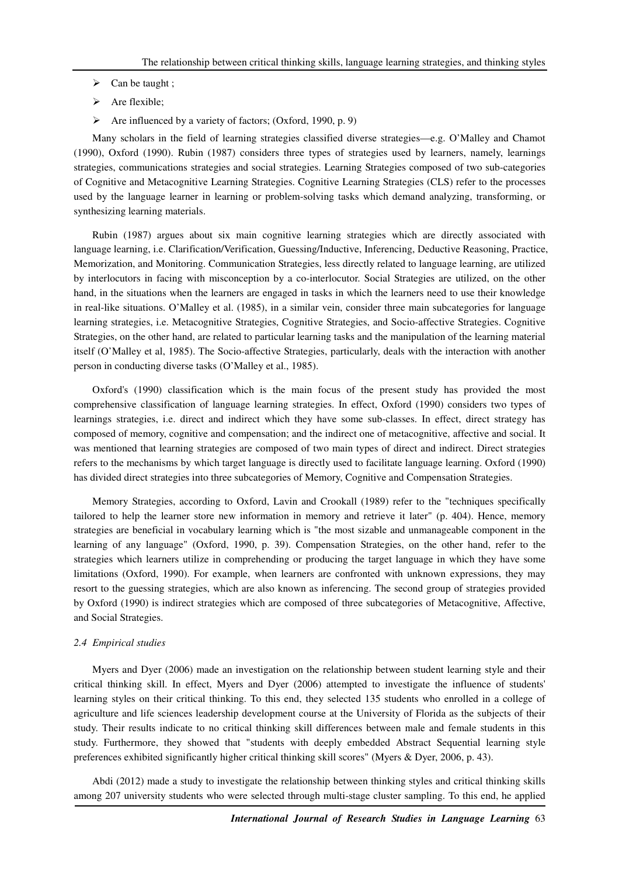- $\triangleright$  Can be taught ;
- $\triangleright$  Are flexible;
- $\triangleright$  Are influenced by a variety of factors; (Oxford, 1990, p. 9)

Many scholars in the field of learning strategies classified diverse strategies—e.g. O'Malley and Chamot (1990), Oxford (1990). Rubin (1987) considers three types of strategies used by learners, namely, learnings strategies, communications strategies and social strategies. Learning Strategies composed of two sub-categories of Cognitive and Metacognitive Learning Strategies. Cognitive Learning Strategies (CLS) refer to the processes used by the language learner in learning or problem-solving tasks which demand analyzing, transforming, or synthesizing learning materials.

Rubin (1987) argues about six main cognitive learning strategies which are directly associated with language learning, i.e. Clarification/Verification, Guessing/Inductive, Inferencing, Deductive Reasoning, Practice, Memorization, and Monitoring. Communication Strategies, less directly related to language learning, are utilized by interlocutors in facing with misconception by a co-interlocutor. Social Strategies are utilized, on the other hand, in the situations when the learners are engaged in tasks in which the learners need to use their knowledge in real-like situations. O'Malley et al. (1985), in a similar vein, consider three main subcategories for language learning strategies, i.e. Metacognitive Strategies, Cognitive Strategies, and Socio-affective Strategies. Cognitive Strategies, on the other hand, are related to particular learning tasks and the manipulation of the learning material itself (O'Malley et al, 1985). The Socio-affective Strategies, particularly, deals with the interaction with another person in conducting diverse tasks (O'Malley et al., 1985).

Oxford's (1990) classification which is the main focus of the present study has provided the most comprehensive classification of language learning strategies. In effect, Oxford (1990) considers two types of learnings strategies, i.e. direct and indirect which they have some sub-classes. In effect, direct strategy has composed of memory, cognitive and compensation; and the indirect one of metacognitive, affective and social. It was mentioned that learning strategies are composed of two main types of direct and indirect. Direct strategies refers to the mechanisms by which target language is directly used to facilitate language learning. Oxford (1990) has divided direct strategies into three subcategories of Memory, Cognitive and Compensation Strategies.

Memory Strategies, according to Oxford, Lavin and Crookall (1989) refer to the "techniques specifically tailored to help the learner store new information in memory and retrieve it later" (p. 404). Hence, memory strategies are beneficial in vocabulary learning which is "the most sizable and unmanageable component in the learning of any language" (Oxford, 1990, p. 39). Compensation Strategies, on the other hand, refer to the strategies which learners utilize in comprehending or producing the target language in which they have some limitations (Oxford, 1990). For example, when learners are confronted with unknown expressions, they may resort to the guessing strategies, which are also known as inferencing. The second group of strategies provided by Oxford (1990) is indirect strategies which are composed of three subcategories of Metacognitive, Affective, and Social Strategies.

# *2.4 Empirical studies*

Myers and Dyer (2006) made an investigation on the relationship between student learning style and their critical thinking skill. In effect, Myers and Dyer (2006) attempted to investigate the influence of students' learning styles on their critical thinking. To this end, they selected 135 students who enrolled in a college of agriculture and life sciences leadership development course at the University of Florida as the subjects of their study. Their results indicate to no critical thinking skill differences between male and female students in this study. Furthermore, they showed that "students with deeply embedded Abstract Sequential learning style preferences exhibited significantly higher critical thinking skill scores" (Myers & Dyer, 2006, p. 43).

Abdi (2012) made a study to investigate the relationship between thinking styles and critical thinking skills among 207 university students who were selected through multi-stage cluster sampling. To this end, he applied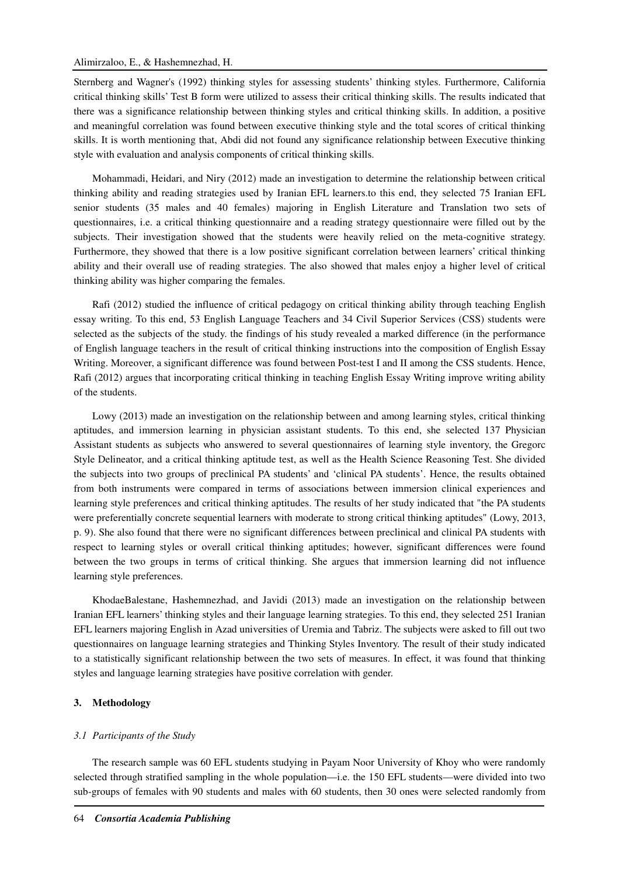# Alimirzaloo, E., & Hashemnezhad, H.

Sternberg and Wagner's (1992) thinking styles for assessing students' thinking styles. Furthermore, California critical thinking skills' Test B form were utilized to assess their critical thinking skills. The results indicated that there was a significance relationship between thinking styles and critical thinking skills. In addition, a positive and meaningful correlation was found between executive thinking style and the total scores of critical thinking skills. It is worth mentioning that, Abdi did not found any significance relationship between Executive thinking style with evaluation and analysis components of critical thinking skills.

Mohammadi, Heidari, and Niry (2012) made an investigation to determine the relationship between critical thinking ability and reading strategies used by Iranian EFL learners.to this end, they selected 75 Iranian EFL senior students (35 males and 40 females) majoring in English Literature and Translation two sets of questionnaires, i.e. a critical thinking questionnaire and a reading strategy questionnaire were filled out by the subjects. Their investigation showed that the students were heavily relied on the meta-cognitive strategy. Furthermore, they showed that there is a low positive significant correlation between learners' critical thinking ability and their overall use of reading strategies. The also showed that males enjoy a higher level of critical thinking ability was higher comparing the females.

Rafi (2012) studied the influence of critical pedagogy on critical thinking ability through teaching English essay writing. To this end, 53 English Language Teachers and 34 Civil Superior Services (CSS) students were selected as the subjects of the study. the findings of his study revealed a marked difference (in the performance of English language teachers in the result of critical thinking instructions into the composition of English Essay Writing. Moreover, a significant difference was found between Post-test I and II among the CSS students. Hence, Rafi (2012) argues that incorporating critical thinking in teaching English Essay Writing improve writing ability of the students.

Lowy (2013) made an investigation on the relationship between and among learning styles, critical thinking aptitudes, and immersion learning in physician assistant students. To this end, she selected 137 Physician Assistant students as subjects who answered to several questionnaires of learning style inventory, the Gregorc Style Delineator, and a critical thinking aptitude test, as well as the Health Science Reasoning Test. She divided the subjects into two groups of preclinical PA students' and 'clinical PA students'. Hence, the results obtained from both instruments were compared in terms of associations between immersion clinical experiences and learning style preferences and critical thinking aptitudes. The results of her study indicated that "the PA students were preferentially concrete sequential learners with moderate to strong critical thinking aptitudes" (Lowy, 2013, p. 9). She also found that there were no significant differences between preclinical and clinical PA students with respect to learning styles or overall critical thinking aptitudes; however, significant differences were found between the two groups in terms of critical thinking. She argues that immersion learning did not influence learning style preferences.

KhodaeBalestane, Hashemnezhad, and Javidi (2013) made an investigation on the relationship between Iranian EFL learners' thinking styles and their language learning strategies. To this end, they selected 251 Iranian EFL learners majoring English in Azad universities of Uremia and Tabriz. The subjects were asked to fill out two questionnaires on language learning strategies and Thinking Styles Inventory. The result of their study indicated to a statistically significant relationship between the two sets of measures. In effect, it was found that thinking styles and language learning strategies have positive correlation with gender.

## **3. Methodology**

#### *3.1 Participants of the Study*

The research sample was 60 EFL students studying in Payam Noor University of Khoy who were randomly selected through stratified sampling in the whole population—i.e. the 150 EFL students—were divided into two sub-groups of females with 90 students and males with 60 students, then 30 ones were selected randomly from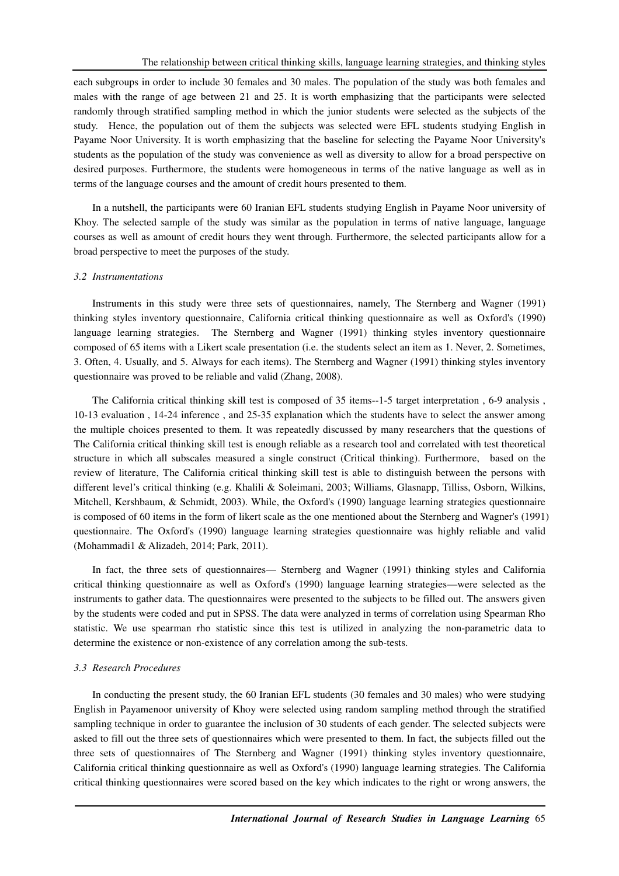each subgroups in order to include 30 females and 30 males. The population of the study was both females and males with the range of age between 21 and 25. It is worth emphasizing that the participants were selected randomly through stratified sampling method in which the junior students were selected as the subjects of the study. Hence, the population out of them the subjects was selected were EFL students studying English in Payame Noor University. It is worth emphasizing that the baseline for selecting the Payame Noor University's students as the population of the study was convenience as well as diversity to allow for a broad perspective on desired purposes. Furthermore, the students were homogeneous in terms of the native language as well as in terms of the language courses and the amount of credit hours presented to them.

In a nutshell, the participants were 60 Iranian EFL students studying English in Payame Noor university of Khoy. The selected sample of the study was similar as the population in terms of native language, language courses as well as amount of credit hours they went through. Furthermore, the selected participants allow for a broad perspective to meet the purposes of the study.

#### *3.2 Instrumentations*

Instruments in this study were three sets of questionnaires, namely, The Sternberg and Wagner (1991) thinking styles inventory questionnaire, California critical thinking questionnaire as well as Oxford's (1990) language learning strategies. The Sternberg and Wagner (1991) thinking styles inventory questionnaire composed of 65 items with a Likert scale presentation (i.e. the students select an item as 1. Never, 2. Sometimes, 3. Often, 4. Usually, and 5. Always for each items). The Sternberg and Wagner (1991) thinking styles inventory questionnaire was proved to be reliable and valid (Zhang, 2008).

The California critical thinking skill test is composed of 35 items--1-5 target interpretation , 6-9 analysis , 10-13 evaluation , 14-24 inference , and 25-35 explanation which the students have to select the answer among the multiple choices presented to them. It was repeatedly discussed by many researchers that the questions of The California critical thinking skill test is enough reliable as a research tool and correlated with test theoretical structure in which all subscales measured a single construct (Critical thinking). Furthermore, based on the review of literature, The California critical thinking skill test is able to distinguish between the persons with different level's critical thinking (e.g. Khalili & Soleimani, 2003; Williams, Glasnapp, Tilliss, Osborn, Wilkins, Mitchell, Kershbaum, & Schmidt, 2003). While, the Oxford's (1990) language learning strategies questionnaire is composed of 60 items in the form of likert scale as the one mentioned about the Sternberg and Wagner's (1991) questionnaire. The Oxford's (1990) language learning strategies questionnaire was highly reliable and valid (Mohammadi1 & Alizadeh, 2014; Park, 2011).

In fact, the three sets of questionnaires— Sternberg and Wagner (1991) thinking styles and California critical thinking questionnaire as well as Oxford's (1990) language learning strategies—were selected as the instruments to gather data. The questionnaires were presented to the subjects to be filled out. The answers given by the students were coded and put in SPSS. The data were analyzed in terms of correlation using Spearman Rho statistic. We use spearman rho statistic since this test is utilized in analyzing the non-parametric data to determine the existence or non-existence of any correlation among the sub-tests.

#### *3.3 Research Procedures*

In conducting the present study, the 60 Iranian EFL students (30 females and 30 males) who were studying English in Payamenoor university of Khoy were selected using random sampling method through the stratified sampling technique in order to guarantee the inclusion of 30 students of each gender. The selected subjects were asked to fill out the three sets of questionnaires which were presented to them. In fact, the subjects filled out the three sets of questionnaires of The Sternberg and Wagner (1991) thinking styles inventory questionnaire, California critical thinking questionnaire as well as Oxford's (1990) language learning strategies. The California critical thinking questionnaires were scored based on the key which indicates to the right or wrong answers, the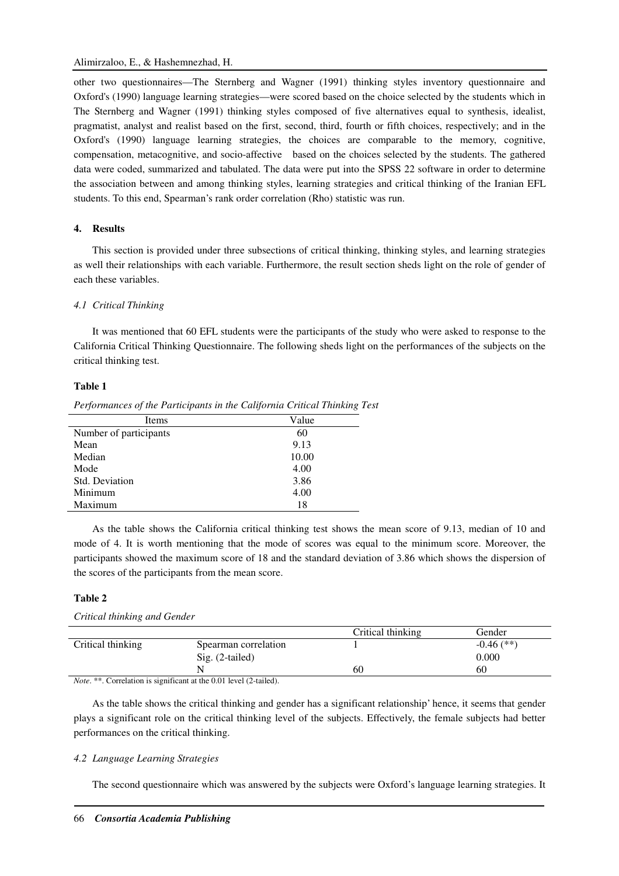other two questionnaires—The Sternberg and Wagner (1991) thinking styles inventory questionnaire and Oxford's (1990) language learning strategies—were scored based on the choice selected by the students which in The Sternberg and Wagner (1991) thinking styles composed of five alternatives equal to synthesis, idealist, pragmatist, analyst and realist based on the first, second, third, fourth or fifth choices, respectively; and in the Oxford's (1990) language learning strategies, the choices are comparable to the memory, cognitive, compensation, metacognitive, and socio-affective based on the choices selected by the students. The gathered data were coded, summarized and tabulated. The data were put into the SPSS 22 software in order to determine the association between and among thinking styles, learning strategies and critical thinking of the Iranian EFL students. To this end, Spearman's rank order correlation (Rho) statistic was run.

## **4. Results**

This section is provided under three subsections of critical thinking, thinking styles, and learning strategies as well their relationships with each variable. Furthermore, the result section sheds light on the role of gender of each these variables.

#### *4.1 Critical Thinking*

It was mentioned that 60 EFL students were the participants of the study who were asked to response to the California Critical Thinking Questionnaire. The following sheds light on the performances of the subjects on the critical thinking test.

# **Table 1**

*Performances of the Participants in the California Critical Thinking Test* 

| Items                  | Value |
|------------------------|-------|
| Number of participants | 60    |
| Mean                   | 9.13  |
| Median                 | 10.00 |
| Mode                   | 4.00  |
| Std. Deviation         | 3.86  |
| Minimum                | 4.00  |
| Maximum                | 18    |
|                        |       |

As the table shows the California critical thinking test shows the mean score of 9.13, median of 10 and mode of 4. It is worth mentioning that the mode of scores was equal to the minimum score. Moreover, the participants showed the maximum score of 18 and the standard deviation of 3.86 which shows the dispersion of the scores of the participants from the mean score.

#### **Table 2**

|                   |                      | Critical thinking | Gender       |  |
|-------------------|----------------------|-------------------|--------------|--|
| Critical thinking | Spearman correlation |                   | $-0.46$ (**) |  |
|                   | $Sig. (2-tailed)$    |                   | 0.000        |  |
|                   | N                    | 60                | 60           |  |
|                   |                      |                   |              |  |

*Note.* \*\*. Correlation is significant at the 0.01 level (2-tailed).

As the table shows the critical thinking and gender has a significant relationship' hence, it seems that gender plays a significant role on the critical thinking level of the subjects. Effectively, the female subjects had better performances on the critical thinking.

#### *4.2 Language Learning Strategies*

*Critical thinking and Gender* 

The second questionnaire which was answered by the subjects were Oxford's language learning strategies. It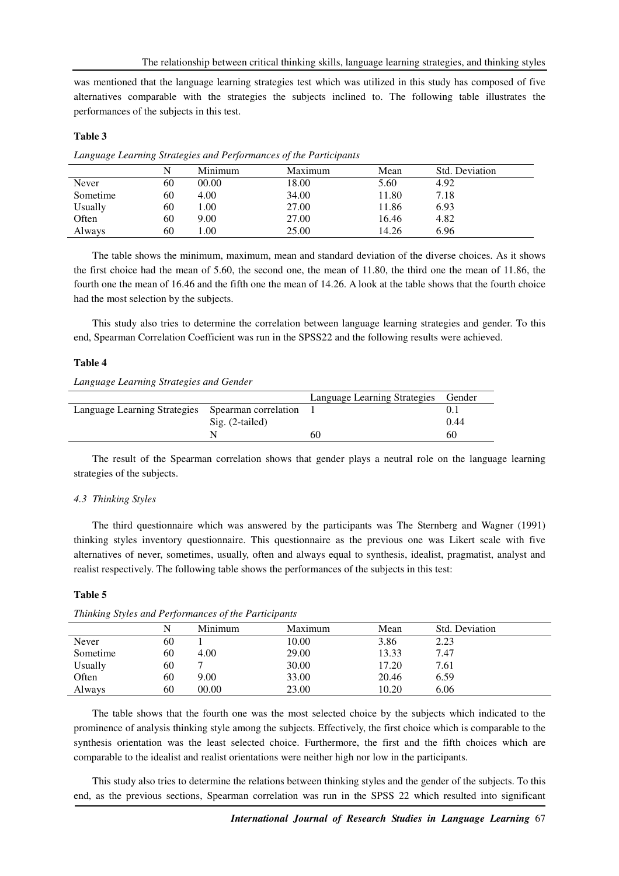was mentioned that the language learning strategies test which was utilized in this study has composed of five alternatives comparable with the strategies the subjects inclined to. The following table illustrates the performances of the subjects in this test.

## **Table 3**

|          |    | Minimum | Maximum | Mean  | Std. Deviation |  |
|----------|----|---------|---------|-------|----------------|--|
| Never    | 60 | 00.00   | 18.00   | 5.60  | 4.92           |  |
| Sometime | 60 | 4.00    | 34.00   | 11.80 | 7.18           |  |
| Usually  | 60 | .00.    | 27.00   | 11.86 | 6.93           |  |
| Often    | 60 | 9.00    | 27.00   | 16.46 | 4.82           |  |
| Always   | 60 | .00.    | 25.00   | 14.26 | 6.96           |  |

*Language Learning Strategies and Performances of the Participants* 

The table shows the minimum, maximum, mean and standard deviation of the diverse choices. As it shows the first choice had the mean of 5.60, the second one, the mean of 11.80, the third one the mean of 11.86, the fourth one the mean of 16.46 and the fifth one the mean of 14.26. A look at the table shows that the fourth choice had the most selection by the subjects.

This study also tries to determine the correlation between language learning strategies and gender. To this end, Spearman Correlation Coefficient was run in the SPSS22 and the following results were achieved.

#### **Table 4**

*Language Learning Strategies and Gender* 

|                                                   |                          | Language Learning Strategies Gender |      |
|---------------------------------------------------|--------------------------|-------------------------------------|------|
| Language Learning Strategies Spearman correlation |                          |                                     |      |
|                                                   | $\text{Sig.}$ (2-tailed) |                                     | 0.44 |
|                                                   |                          | 60                                  | 60   |

The result of the Spearman correlation shows that gender plays a neutral role on the language learning strategies of the subjects.

#### *4.3 Thinking Styles*

The third questionnaire which was answered by the participants was The Sternberg and Wagner (1991) thinking styles inventory questionnaire. This questionnaire as the previous one was Likert scale with five alternatives of never, sometimes, usually, often and always equal to synthesis, idealist, pragmatist, analyst and realist respectively. The following table shows the performances of the subjects in this test:

#### **Table 5**

|          |    | Minimum | Maximum | Mean  | Std. Deviation |
|----------|----|---------|---------|-------|----------------|
| Never    | 60 |         | 10.00   | 3.86  | 2.23           |
| Sometime | 60 | 4.00    | 29.00   | 13.33 | 7.47           |
| Usually  | 60 |         | 30.00   | 17.20 | 7.61           |
| Often    | 60 | 9.00    | 33.00   | 20.46 | 6.59           |
| Always   | 60 | 00.00   | 23.00   | 10.20 | 6.06           |

*Thinking Styles and Performances of the Participants* 

The table shows that the fourth one was the most selected choice by the subjects which indicated to the prominence of analysis thinking style among the subjects. Effectively, the first choice which is comparable to the synthesis orientation was the least selected choice. Furthermore, the first and the fifth choices which are comparable to the idealist and realist orientations were neither high nor low in the participants.

This study also tries to determine the relations between thinking styles and the gender of the subjects. To this end, as the previous sections, Spearman correlation was run in the SPSS 22 which resulted into significant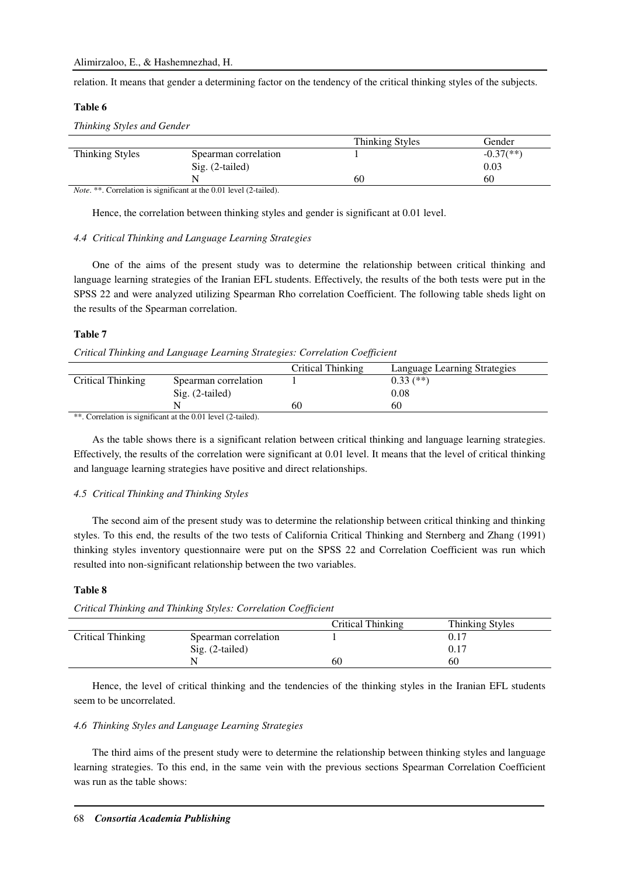relation. It means that gender a determining factor on the tendency of the critical thinking styles of the subjects.

## **Table 6**

*Thinking Styles and Gender* 

|                 |                                                               | <b>Thinking Styles</b> | Gender       |
|-----------------|---------------------------------------------------------------|------------------------|--------------|
| Thinking Styles | Spearman correlation                                          |                        | $-0.37$ (**) |
|                 | $Sig. (2-tailed)$                                             |                        | 0.03         |
|                 |                                                               | 60                     | 60           |
|                 | $Mata ** Correlation is consistent with 0.01 level (2 to 10)$ |                        |              |

*Note*. \*\*. Correlation is significant at the 0.01 level (2-tailed).

Hence, the correlation between thinking styles and gender is significant at 0.01 level.

#### *4.4 Critical Thinking and Language Learning Strategies*

One of the aims of the present study was to determine the relationship between critical thinking and language learning strategies of the Iranian EFL students. Effectively, the results of the both tests were put in the SPSS 22 and were analyzed utilizing Spearman Rho correlation Coefficient. The following table sheds light on the results of the Spearman correlation.

# **Table 7**

*Critical Thinking and Language Learning Strategies: Correlation Coefficient* 

|                   |                                                                     | Critical Thinking | Language Learning Strategies |
|-------------------|---------------------------------------------------------------------|-------------------|------------------------------|
| Critical Thinking | Spearman correlation                                                |                   | $0.33$ $(**)$                |
|                   | $\text{Sig.}$ (2-tailed)                                            |                   | 0.08                         |
|                   |                                                                     | 60                | 60                           |
|                   | ** Correlation is significant at the 0.01 level $(2 \text{ to } 1)$ |                   |                              |

. Correlation is significant at the 0.01 level (2-tailed).

As the table shows there is a significant relation between critical thinking and language learning strategies. Effectively, the results of the correlation were significant at 0.01 level. It means that the level of critical thinking and language learning strategies have positive and direct relationships.

#### *4.5 Critical Thinking and Thinking Styles*

The second aim of the present study was to determine the relationship between critical thinking and thinking styles. To this end, the results of the two tests of California Critical Thinking and Sternberg and Zhang (1991) thinking styles inventory questionnaire were put on the SPSS 22 and Correlation Coefficient was run which resulted into non-significant relationship between the two variables.

## **Table 8**

*Critical Thinking and Thinking Styles: Correlation Coefficient* 

|                   |                      | Critical Thinking | Thinking Styles |  |
|-------------------|----------------------|-------------------|-----------------|--|
| Critical Thinking | Spearman correlation |                   |                 |  |
|                   | $Sig. (2-tailed)$    |                   | 0.17            |  |
|                   |                      | 60                | 60              |  |

Hence, the level of critical thinking and the tendencies of the thinking styles in the Iranian EFL students seem to be uncorrelated.

## *4.6 Thinking Styles and Language Learning Strategies*

The third aims of the present study were to determine the relationship between thinking styles and language learning strategies. To this end, in the same vein with the previous sections Spearman Correlation Coefficient was run as the table shows: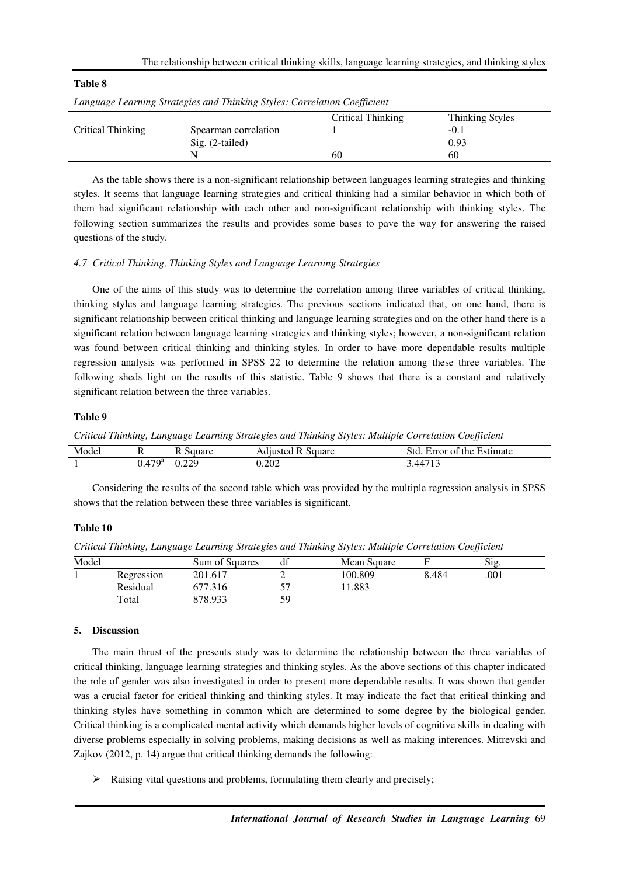| Language Learning Strategies and Thinking Styles: Correlation Coefficient |                      |    |        |  |  |  |  |
|---------------------------------------------------------------------------|----------------------|----|--------|--|--|--|--|
| Thinking Styles<br>Critical Thinking                                      |                      |    |        |  |  |  |  |
| Critical Thinking                                                         | Spearman correlation |    | $-0.1$ |  |  |  |  |
|                                                                           | $Sig. (2-tailed)$    |    | 0.93   |  |  |  |  |
|                                                                           |                      | 60 | 60     |  |  |  |  |

*Language Learning Strategies and Thinking Styles: Correlation Coefficient* 

As the table shows there is a non-significant relationship between languages learning strategies and thinking styles. It seems that language learning strategies and critical thinking had a similar behavior in which both of them had significant relationship with each other and non-significant relationship with thinking styles. The following section summarizes the results and provides some bases to pave the way for answering the raised questions of the study.

## *4.7 Critical Thinking, Thinking Styles and Language Learning Strategies*

One of the aims of this study was to determine the correlation among three variables of critical thinking, thinking styles and language learning strategies. The previous sections indicated that, on one hand, there is significant relationship between critical thinking and language learning strategies and on the other hand there is a significant relation between language learning strategies and thinking styles; however, a non-significant relation was found between critical thinking and thinking styles. In order to have more dependable results multiple regression analysis was performed in SPSS 22 to determine the relation among these three variables. The following sheds light on the results of this statistic. Table 9 shows that there is a constant and relatively significant relation between the three variables.

#### **Table 9**

**Table 8** 

*Critical Thinking, Language Learning Strategies and Thinking Styles: Multiple Correlation Coefficient* 

| Model | . .                     | 110F<br>uaic<br>. . | square<br>tuste<br>ᆪ | Estimate<br>-std<br>the<br>Error<br>. 01 |
|-------|-------------------------|---------------------|----------------------|------------------------------------------|
| . .   | 470 <sup>a</sup><br>− г | າາດ<br>J.44J        | 0.202                | $\sim$ $\sim$<br>/L/                     |

Considering the results of the second table which was provided by the multiple regression analysis in SPSS shows that the relation between these three variables is significant.

## **Table 10**

*Critical Thinking, Language Learning Strategies and Thinking Styles: Multiple Correlation Coefficient* 

| Model |            | Sum of Squares | df | Mean Square |       | Sig. |  |
|-------|------------|----------------|----|-------------|-------|------|--|
|       | Regression | 201.617        |    | 100.809     | 8.484 | .001 |  |
|       | Residual   | 677.316        |    | 1.883       |       |      |  |
|       | Total      | 878.933        | 59 |             |       |      |  |

#### **5. Discussion**

The main thrust of the presents study was to determine the relationship between the three variables of critical thinking, language learning strategies and thinking styles. As the above sections of this chapter indicated the role of gender was also investigated in order to present more dependable results. It was shown that gender was a crucial factor for critical thinking and thinking styles. It may indicate the fact that critical thinking and thinking styles have something in common which are determined to some degree by the biological gender. Critical thinking is a complicated mental activity which demands higher levels of cognitive skills in dealing with diverse problems especially in solving problems, making decisions as well as making inferences. Mitrevski and Zajkov (2012, p. 14) argue that critical thinking demands the following:

 $\triangleright$  Raising vital questions and problems, formulating them clearly and precisely;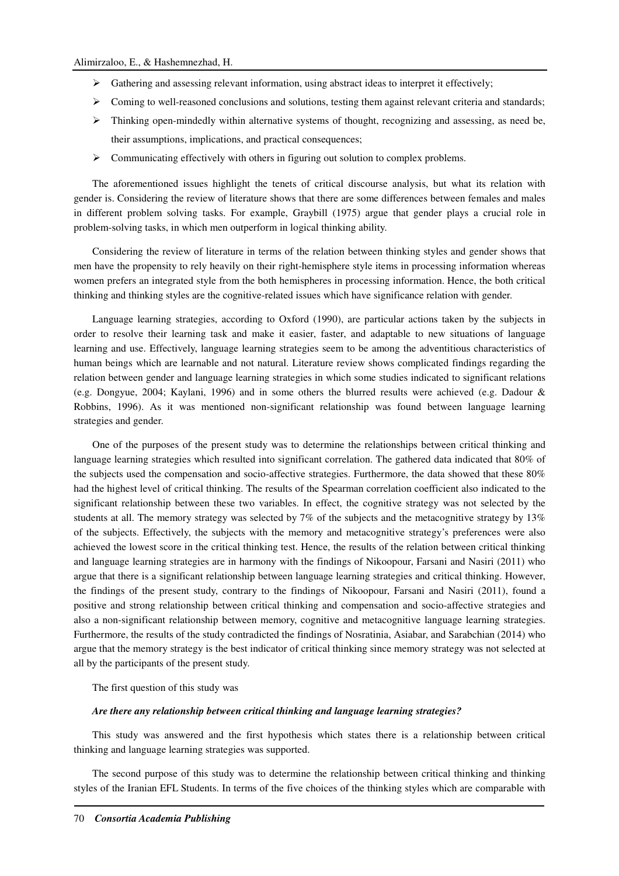- $\triangleright$  Gathering and assessing relevant information, using abstract ideas to interpret it effectively;
- $\triangleright$  Coming to well-reasoned conclusions and solutions, testing them against relevant criteria and standards;
- $\triangleright$  Thinking open-mindedly within alternative systems of thought, recognizing and assessing, as need be, their assumptions, implications, and practical consequences;
- $\triangleright$  Communicating effectively with others in figuring out solution to complex problems.

The aforementioned issues highlight the tenets of critical discourse analysis, but what its relation with gender is. Considering the review of literature shows that there are some differences between females and males in different problem solving tasks. For example, Graybill (1975) argue that gender plays a crucial role in problem-solving tasks, in which men outperform in logical thinking ability.

Considering the review of literature in terms of the relation between thinking styles and gender shows that men have the propensity to rely heavily on their right-hemisphere style items in processing information whereas women prefers an integrated style from the both hemispheres in processing information. Hence, the both critical thinking and thinking styles are the cognitive-related issues which have significance relation with gender.

Language learning strategies, according to Oxford (1990), are particular actions taken by the subjects in order to resolve their learning task and make it easier, faster, and adaptable to new situations of language learning and use. Effectively, language learning strategies seem to be among the adventitious characteristics of human beings which are learnable and not natural. Literature review shows complicated findings regarding the relation between gender and language learning strategies in which some studies indicated to significant relations (e.g. Dongyue, 2004; Kaylani, 1996) and in some others the blurred results were achieved (e.g. Dadour & Robbins, 1996). As it was mentioned non-significant relationship was found between language learning strategies and gender.

One of the purposes of the present study was to determine the relationships between critical thinking and language learning strategies which resulted into significant correlation. The gathered data indicated that 80% of the subjects used the compensation and socio-affective strategies. Furthermore, the data showed that these 80% had the highest level of critical thinking. The results of the Spearman correlation coefficient also indicated to the significant relationship between these two variables. In effect, the cognitive strategy was not selected by the students at all. The memory strategy was selected by 7% of the subjects and the metacognitive strategy by 13% of the subjects. Effectively, the subjects with the memory and metacognitive strategy's preferences were also achieved the lowest score in the critical thinking test. Hence, the results of the relation between critical thinking and language learning strategies are in harmony with the findings of Nikoopour, Farsani and Nasiri (2011) who argue that there is a significant relationship between language learning strategies and critical thinking. However, the findings of the present study, contrary to the findings of Nikoopour, Farsani and Nasiri (2011), found a positive and strong relationship between critical thinking and compensation and socio-affective strategies and also a non-significant relationship between memory, cognitive and metacognitive language learning strategies. Furthermore, the results of the study contradicted the findings of Nosratinia, Asiabar, and Sarabchian (2014) who argue that the memory strategy is the best indicator of critical thinking since memory strategy was not selected at all by the participants of the present study.

The first question of this study was

#### *Are there any relationship between critical thinking and language learning strategies?*

This study was answered and the first hypothesis which states there is a relationship between critical thinking and language learning strategies was supported.

The second purpose of this study was to determine the relationship between critical thinking and thinking styles of the Iranian EFL Students. In terms of the five choices of the thinking styles which are comparable with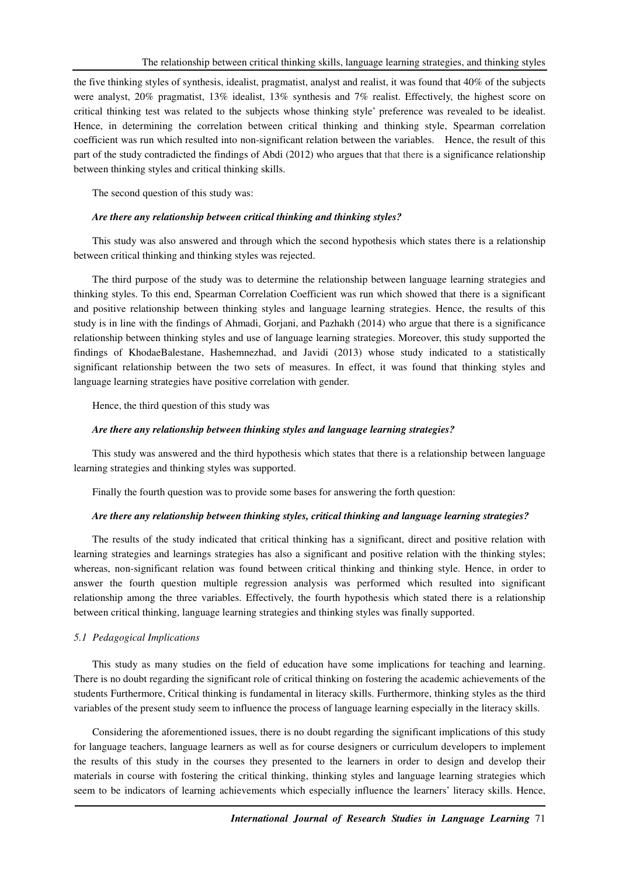the five thinking styles of synthesis, idealist, pragmatist, analyst and realist, it was found that 40% of the subjects were analyst, 20% pragmatist, 13% idealist, 13% synthesis and 7% realist. Effectively, the highest score on critical thinking test was related to the subjects whose thinking style' preference was revealed to be idealist. Hence, in determining the correlation between critical thinking and thinking style, Spearman correlation coefficient was run which resulted into non-significant relation between the variables. Hence, the result of this part of the study contradicted the findings of Abdi (2012) who argues that that there is a significance relationship between thinking styles and critical thinking skills.

The second question of this study was:

#### *Are there any relationship between critical thinking and thinking styles?*

This study was also answered and through which the second hypothesis which states there is a relationship between critical thinking and thinking styles was rejected.

The third purpose of the study was to determine the relationship between language learning strategies and thinking styles. To this end, Spearman Correlation Coefficient was run which showed that there is a significant and positive relationship between thinking styles and language learning strategies. Hence, the results of this study is in line with the findings of Ahmadi, Gorjani, and Pazhakh (2014) who argue that there is a significance relationship between thinking styles and use of language learning strategies. Moreover, this study supported the findings of KhodaeBalestane, Hashemnezhad, and Javidi (2013) whose study indicated to a statistically significant relationship between the two sets of measures. In effect, it was found that thinking styles and language learning strategies have positive correlation with gender.

Hence, the third question of this study was

## *Are there any relationship between thinking styles and language learning strategies?*

This study was answered and the third hypothesis which states that there is a relationship between language learning strategies and thinking styles was supported.

Finally the fourth question was to provide some bases for answering the forth question:

#### *Are there any relationship between thinking styles, critical thinking and language learning strategies?*

The results of the study indicated that critical thinking has a significant, direct and positive relation with learning strategies and learnings strategies has also a significant and positive relation with the thinking styles; whereas, non-significant relation was found between critical thinking and thinking style. Hence, in order to answer the fourth question multiple regression analysis was performed which resulted into significant relationship among the three variables. Effectively, the fourth hypothesis which stated there is a relationship between critical thinking, language learning strategies and thinking styles was finally supported.

#### *5.1 Pedagogical Implications*

This study as many studies on the field of education have some implications for teaching and learning. There is no doubt regarding the significant role of critical thinking on fostering the academic achievements of the students Furthermore, Critical thinking is fundamental in literacy skills. Furthermore, thinking styles as the third variables of the present study seem to influence the process of language learning especially in the literacy skills.

Considering the aforementioned issues, there is no doubt regarding the significant implications of this study for language teachers, language learners as well as for course designers or curriculum developers to implement the results of this study in the courses they presented to the learners in order to design and develop their materials in course with fostering the critical thinking, thinking styles and language learning strategies which seem to be indicators of learning achievements which especially influence the learners' literacy skills. Hence,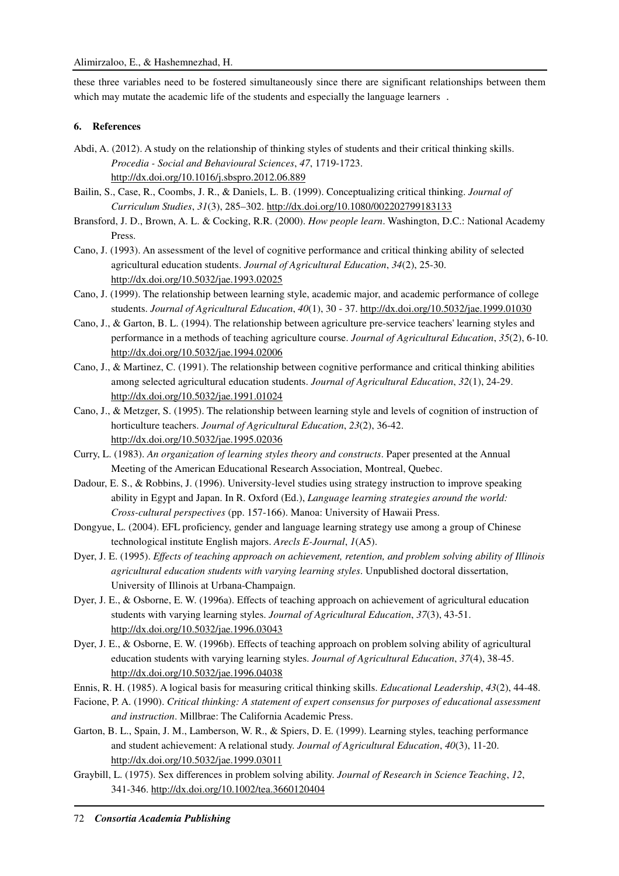these three variables need to be fostered simultaneously since there are significant relationships between them which may mutate the academic life of the students and especially the language learners.

# **6. References**

- Abdi, A. (2012). A study on the relationship of thinking styles of students and their critical thinking skills. *Procedia - Social and Behavioural Sciences*, *47*, 1719-1723. http://dx.doi.org/10.1016/j.sbspro.2012.06.889
- Bailin, S., Case, R., Coombs, J. R., & Daniels, L. B. (1999). Conceptualizing critical thinking. *Journal of Curriculum Studies*, *31*(3), 285–302. http://dx.doi.org/10.1080/002202799183133
- Bransford, J. D., Brown, A. L. & Cocking, R.R. (2000). *How people learn*. Washington, D.C.: National Academy Press.
- Cano, J. (1993). An assessment of the level of cognitive performance and critical thinking ability of selected agricultural education students. *Journal of Agricultural Education*, *34*(2), 25-30. http://dx.doi.org/10.5032/jae.1993.02025
- Cano, J. (1999). The relationship between learning style, academic major, and academic performance of college students. *Journal of Agricultural Education*, *40*(1), 30 - 37. http://dx.doi.org/10.5032/jae.1999.01030
- Cano, J., & Garton, B. L. (1994). The relationship between agriculture pre-service teachers' learning styles and performance in a methods of teaching agriculture course. *Journal of Agricultural Education*, *35*(2), 6-10. http://dx.doi.org/10.5032/jae.1994.02006
- Cano, J., & Martinez, C. (1991). The relationship between cognitive performance and critical thinking abilities among selected agricultural education students. *Journal of Agricultural Education*, *32*(1), 24-29. http://dx.doi.org/10.5032/jae.1991.01024
- Cano, J., & Metzger, S. (1995). The relationship between learning style and levels of cognition of instruction of horticulture teachers. *Journal of Agricultural Education*, *23*(2), 36-42. http://dx.doi.org/10.5032/jae.1995.02036
- Curry, L. (1983). *An organization of learning styles theory and constructs*. Paper presented at the Annual Meeting of the American Educational Research Association, Montreal, Quebec.
- Dadour, E. S., & Robbins, J. (1996). University-level studies using strategy instruction to improve speaking ability in Egypt and Japan. In R. Oxford (Ed.), *Language learning strategies around the world: Cross-cultural perspectives* (pp. 157-166). Manoa: University of Hawaii Press.
- Dongyue, L. (2004). EFL proficiency, gender and language learning strategy use among a group of Chinese technological institute English majors. *Arecls E-Journal*, *1*(A5).
- Dyer, J. E. (1995). *Effects of teaching approach on achievement, retention, and problem solving ability of Illinois agricultural education students with varying learning styles*. Unpublished doctoral dissertation, University of Illinois at Urbana-Champaign.
- Dyer, J. E., & Osborne, E. W. (1996a). Effects of teaching approach on achievement of agricultural education students with varying learning styles. *Journal of Agricultural Education*, *37*(3), 43-51. http://dx.doi.org/10.5032/jae.1996.03043
- Dyer, J. E., & Osborne, E. W. (1996b). Effects of teaching approach on problem solving ability of agricultural education students with varying learning styles. *Journal of Agricultural Education*, *37*(4), 38-45. http://dx.doi.org/10.5032/jae.1996.04038
- Ennis, R. H. (1985). A logical basis for measuring critical thinking skills. *Educational Leadership*, *43*(2), 44-48.
- Facione, P. A. (1990). *Critical thinking: A statement of expert consensus for purposes of educational assessment and instruction*. Millbrae: The California Academic Press.
- Garton, B. L., Spain, J. M., Lamberson, W. R., & Spiers, D. E. (1999). Learning styles, teaching performance and student achievement: A relational study. *Journal of Agricultural Education*, *40*(3), 11-20. http://dx.doi.org/10.5032/jae.1999.03011
- Graybill, L. (1975). Sex differences in problem solving ability. *Journal of Research in Science Teaching*, *12*, 341-346. http://dx.doi.org/10.1002/tea.3660120404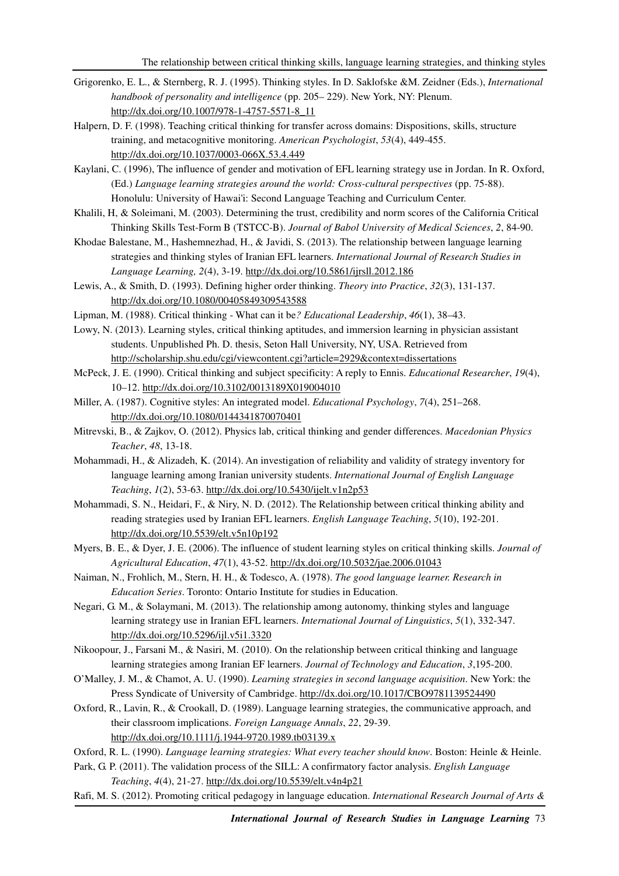- Grigorenko, E. L., & Sternberg, R. J. (1995). Thinking styles. In D. Saklofske &M. Zeidner (Eds.), *International handbook of personality and intelligence* (pp. 205– 229). New York, NY: Plenum. http://dx.doi.org/10.1007/978-1-4757-5571-8\_11
- Halpern, D. F. (1998). Teaching critical thinking for transfer across domains: Dispositions, skills, structure training, and metacognitive monitoring. *American Psychologist*, *53*(4), 449-455. http://dx.doi.org/10.1037/0003-066X.53.4.449
- Kaylani, C. (1996), The influence of gender and motivation of EFL learning strategy use in Jordan. In R. Oxford, (Ed.) *Language learning strategies around the world: Cross-cultural perspectives* (pp. 75-88). Honolulu: University of Hawai'i: Second Language Teaching and Curriculum Center.
- Khalili, H, & Soleimani, M. (2003). Determining the trust, credibility and norm scores of the California Critical Thinking Skills Test-Form B (TSTCC-B). *Journal of Babol University of Medical Sciences*, *2*, 84-90.
- Khodae Balestane, M., Hashemnezhad, H., & Javidi, S. (2013). The relationship between language learning strategies and thinking styles of Iranian EFL learners. *International Journal of Research Studies in Language Learning, 2*(4), 3-19. http://dx.doi.org/10.5861/ijrsll.2012.186
- Lewis, A., & Smith, D. (1993). Defining higher order thinking. *Theory into Practice*, *32*(3), 131-137. http://dx.doi.org/10.1080/00405849309543588
- Lipman, M. (1988). Critical thinking What can it be*? Educational Leadership*, *46*(1), 38–43.
- Lowy, N. (2013). Learning styles, critical thinking aptitudes, and immersion learning in physician assistant students. Unpublished Ph. D. thesis, Seton Hall University, NY, USA. Retrieved from http://scholarship.shu.edu/cgi/viewcontent.cgi?article=2929&context=dissertations
- McPeck, J. E. (1990). Critical thinking and subject specificity: A reply to Ennis. *Educational Researcher*, *19*(4), 10–12. http://dx.doi.org/10.3102/0013189X019004010
- Miller, A. (1987). Cognitive styles: An integrated model. *Educational Psychology*, *7*(4), 251–268. http://dx.doi.org/10.1080/0144341870070401
- Mitrevski, B., & Zajkov, O. (2012). Physics lab, critical thinking and gender differences. *Macedonian Physics Teacher*, *48*, 13-18.
- Mohammadi, H., & Alizadeh, K. (2014). An investigation of reliability and validity of strategy inventory for language learning among Iranian university students. *International Journal of English Language Teaching*, *1*(2), 53-63. http://dx.doi.org/10.5430/ijelt.v1n2p53
- Mohammadi, S. N., Heidari, F., & Niry, N. D. (2012). The Relationship between critical thinking ability and reading strategies used by Iranian EFL learners. *English Language Teaching*, *5*(10), 192-201. http://dx.doi.org/10.5539/elt.v5n10p192
- Myers, B. E., & Dyer, J. E. (2006). The influence of student learning styles on critical thinking skills. *Journal of Agricultural Education*, *47*(1), 43-52. http://dx.doi.org/10.5032/jae.2006.01043
- Naiman, N., Frohlich, M., Stern, H. H., & Todesco, A. (1978). *The good language learner. Research in Education Series*. Toronto: Ontario Institute for studies in Education.
- Negari, G. M., & Solaymani, M. (2013). The relationship among autonomy, thinking styles and language learning strategy use in Iranian EFL learners. *International Journal of Linguistics*, *5*(1), 332-347. http://dx.doi.org/10.5296/ijl.v5i1.3320
- Nikoopour, J., Farsani M., & Nasiri, M. (2010). On the relationship between critical thinking and language learning strategies among Iranian EF learners. *Journal of Technology and Education*, *3*,195-200.
- O'Malley, J. M., & Chamot, A. U. (1990). *Learning strategies in second language acquisition*. New York: the Press Syndicate of University of Cambridge. http://dx.doi.org/10.1017/CBO9781139524490
- Oxford, R., Lavin, R., & Crookall, D. (1989). Language learning strategies, the communicative approach, and their classroom implications. *Foreign Language Annals*, *22*, 29-39. http://dx.doi.org/10.1111/j.1944-9720.1989.tb03139.x
- Oxford, R. L. (1990). *Language learning strategies: What every teacher should know*. Boston: Heinle & Heinle.
- Park, G. P. (2011). The validation process of the SILL: A confirmatory factor analysis. *English Language Teaching*, *4*(4), 21-27. http://dx.doi.org/10.5539/elt.v4n4p21
- Rafi, M. S. (2012). Promoting critical pedagogy in language education. *International Research Journal of Arts &*